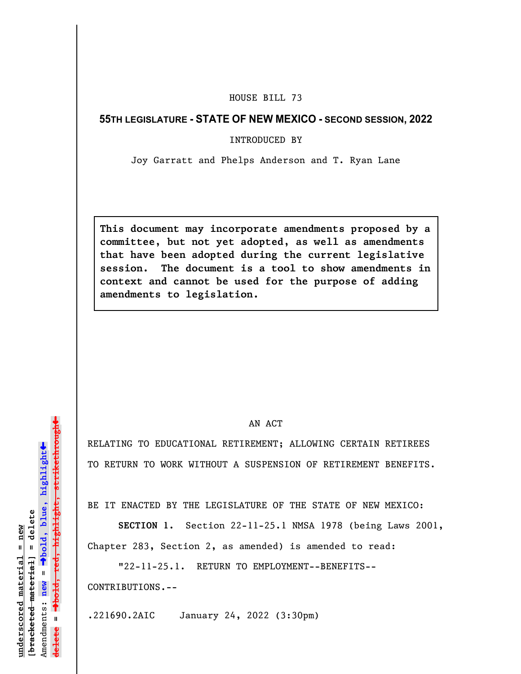## HOUSE BILL 73

## **55TH LEGISLATURE - STATE OF NEW MEXICO - SECOND SESSION, 2022**

INTRODUCED BY

Joy Garratt and Phelps Anderson and T. Ryan Lane

**This document may incorporate amendments proposed by a committee, but not yet adopted, as well as amendments that have been adopted during the current legislative session. The document is a tool to show amendments in context and cannot be used for the purpose of adding amendments to legislation.**

## AN ACT

RELATING TO EDUCATIONAL RETIREMENT; ALLOWING CERTAIN RETIREES TO RETURN TO WORK WITHOUT A SUSPENSION OF RETIREMENT BENEFITS.

BE IT ENACTED BY THE LEGISLATURE OF THE STATE OF NEW MEXICO:

**SECTION 1.** Section 22-11-25.1 NMSA 1978 (being Laws 2001, Chapter 283, Section 2, as amended) is amended to read:

"22-11-25.1. RETURN TO EMPLOYMENT--BENEFITS-- CONTRIBUTIONS.--

.221690.2AIC January 24, 2022 (3:30pm)

»º**bold, red, highlight, strikethrough** highlight, strikethrou  $\ddot{\bullet}$ º**bold, blue, highlight**  $b$ racketed material] = delete **[bracketed material] = delete** inderscored material = new **underscored material = new** Amendments: new = Amendments: **new** =  $\mathbf{u}$ **delete =** lelete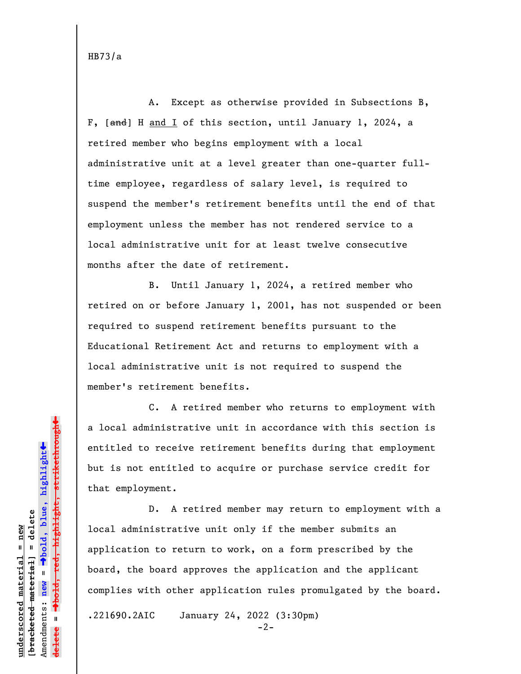HB73/a

A. Except as otherwise provided in Subsections B, F, [and] H and I of this section, until January 1, 2024, a retired member who begins employment with a local administrative unit at a level greater than one-quarter fulltime employee, regardless of salary level, is required to suspend the member's retirement benefits until the end of that employment unless the member has not rendered service to a local administrative unit for at least twelve consecutive months after the date of retirement.

B. Until January 1, 2024, a retired member who retired on or before January 1, 2001, has not suspended or been required to suspend retirement benefits pursuant to the Educational Retirement Act and returns to employment with a local administrative unit is not required to suspend the member's retirement benefits.

C. A retired member who returns to employment with a local administrative unit in accordance with this section is entitled to receive retirement benefits during that employment but is not entitled to acquire or purchase service credit for that employment.

D. A retired member may return to employment with a local administrative unit only if the member submits an application to return to work, on a form prescribed by the board, the board approves the application and the applicant complies with other application rules promulgated by the board.

.221690.2AIC January 24, 2022 (3:30pm)

 $-2-$ 

 $\ddag$ º**bold, red, highlight, strikethrough**  $\ddot{\bullet}$ º**bold, blue, highlight** bracketed material] = delete **[bracketed material] = delete** inderscored material = new **underscored material = new** Amendments: **new** =  $\mathbf{u}$ Amendments: new **delete =**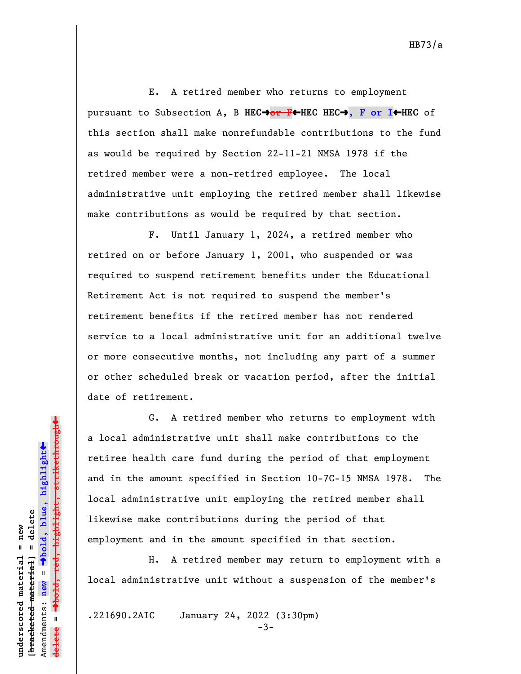E. A retired member who returns to employment pursuant to Subsection A, B **HEC**º**or F**»**HEC HEC**º**, F or I**»**HEC** of this section shall make nonrefundable contributions to the fund as would be required by Section 22-11-21 NMSA 1978 if the retired member were a non-retired employee. The local administrative unit employing the retired member shall likewise make contributions as would be required by that section.

F. Until January 1, 2024, a retired member who retired on or before January 1, 2001, who suspended or was required to suspend retirement benefits under the Educational Retirement Act is not required to suspend the member's retirement benefits if the retired member has not rendered service to a local administrative unit for an additional twelve or more consecutive months, not including any part of a summer or other scheduled break or vacation period, after the initial date of retirement.

G. A retired member who returns to employment with a local administrative unit shall make contributions to the retiree health care fund during the period of that employment and in the amount specified in Section 10-7C-15 NMSA 1978. The local administrative unit employing the retired member shall likewise make contributions during the period of that employment and in the amount specified in that section.

H. A retired member may return to employment with a local administrative unit without a suspension of the member's

.221690.2AIC January 24, 2022 (3:30pm)

**underscored material = new [bracketed material] = delete**

bracketed material] = delete inderscored material = new

Amendments: **new** =

Amendments: new =

**delete =**

º**bold, blue, highlight**

º**bold, red, highlight, strikethrough**

 $\ddot{\bullet}$ 

 $\ddag$ 

-3-

HB73/a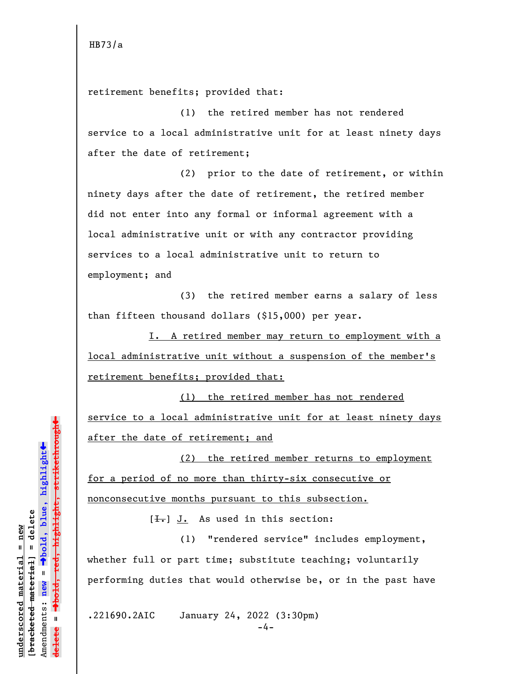retirement benefits; provided that:

(1) the retired member has not rendered service to a local administrative unit for at least ninety days after the date of retirement;

(2) prior to the date of retirement, or within ninety days after the date of retirement, the retired member did not enter into any formal or informal agreement with a local administrative unit or with any contractor providing services to a local administrative unit to return to employment; and

(3) the retired member earns a salary of less than fifteen thousand dollars (\$15,000) per year.

I. A retired member may return to employment with a local administrative unit without a suspension of the member's retirement benefits; provided that:

(1) the retired member has not rendered service to a local administrative unit for at least ninety days after the date of retirement; and

(2) the retired member returns to employment for a period of no more than thirty-six consecutive or nonconsecutive months pursuant to this subsection.

 $[\frac{1}{\sqrt{1}}]$  J. As used in this section:

(1) "rendered service" includes employment, whether full or part time; substitute teaching; voluntarily performing duties that would otherwise be, or in the past have

.221690.2AIC January 24, 2022 (3:30pm)

**underscored material = new [bracketed material] = delete**

bracketed material] = delete inderscored material = new

Amendments: **new** =

Amendments: new  $\mathbf{u}$ 

 $\mathbf{I}$ 

**delete =**

º**bold, blue, highlight**

º**bold, red, highlight, strikethrough**

highlight, strikethrough

 $\ddot{\bullet}$ 

»